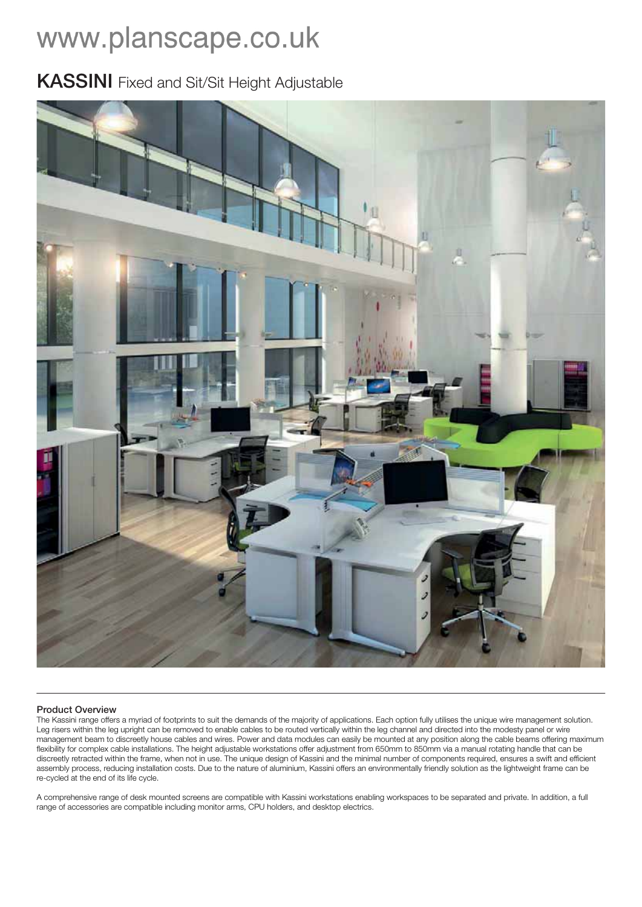# www.planscape.co.uk

### **KASSINI** Fixed and Sit/Sit Height Adjustable



#### **Product Overview**

The Kassini range offers a myriad of footprints to suit the demands of the majority of applications. Each option fully utilises the unique wire management solution. Leg risers within the leg upright can be removed to enable cables to be routed vertically within the leg channel and directed into the modesty panel or wire management beam to discreetly house cables and wires. Power and data modules can easily be mounted at any position along the cable beams offering maximum flexibility for complex cable installations. The height adjustable workstations offer adjustment from 650mm to 850mm via a manual rotating handle that can be discreetly retracted within the frame, when not in use. The unique design of Kassini and the minimal number of components required, ensures a swift and efficient assembly process, reducing installation costs. Due to the nature of aluminium, Kassini offers an environmentally friendly solution as the lightweight frame can be re-cycled at the end of its life cycle.

A comprehensive range of desk mounted screens are compatible with Kassini workstations enabling workspaces to be separated and private. In addition, a full range of accessories are compatible including monitor arms, CPU holders, and desktop electrics.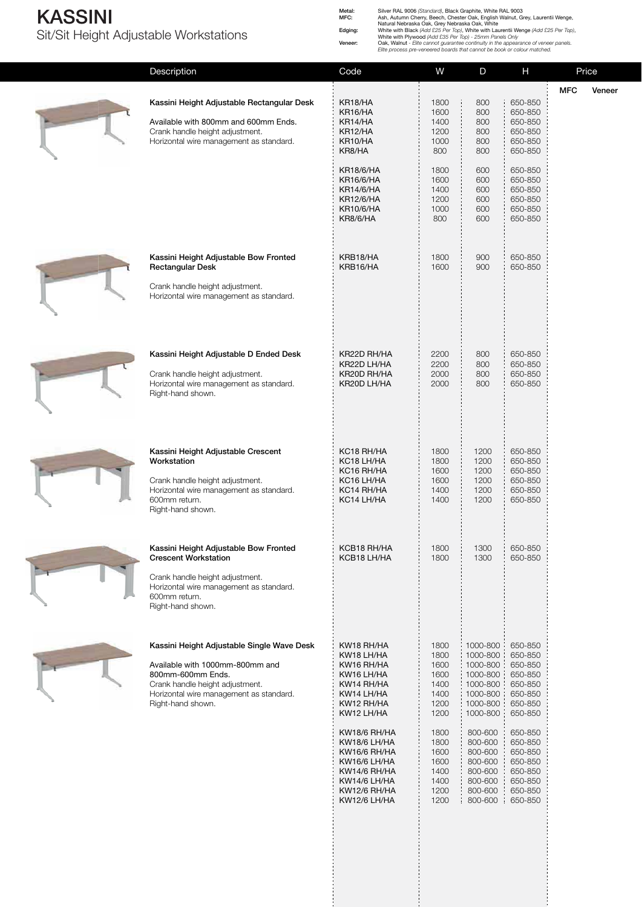#### **KASSINI** Sit/Sit Height Adjustable Workstations

Metal: Silver RAL 9006 (Standard), Black Graphite, White RAL 9003<br>
MFC: Ash, Autumn Cherry, Beech, Chester Oak, English Walnut, Grey, Laurentii Wenge,<br>
Natural Nebraska Oak, Grey Nebraska Oak, White<br>
Edging: White with Bla

| Description                                                                                                                                                                                           | Code                                                                                                                         | W                                                            | D                                                                                            | Н                                                                                    | Price      |        |
|-------------------------------------------------------------------------------------------------------------------------------------------------------------------------------------------------------|------------------------------------------------------------------------------------------------------------------------------|--------------------------------------------------------------|----------------------------------------------------------------------------------------------|--------------------------------------------------------------------------------------|------------|--------|
|                                                                                                                                                                                                       |                                                                                                                              |                                                              |                                                                                              |                                                                                      | <b>MFC</b> | Veneer |
| Kassini Height Adjustable Rectangular Desk<br>Available with 800mm and 600mm Ends.<br>Crank handle height adjustment.<br>Horizontal wire management as standard.                                      | KR18/HA<br>KR16/HA<br>KR14/HA<br>KR12/HA<br>KR10/HA<br>KR8/HA                                                                | 1800<br>1600<br>1400<br>1200<br>1000<br>800                  | 800<br>800<br>800<br>800<br>800<br>800                                                       | 650-850<br>650-850<br>650-850<br>650-850<br>650-850<br>650-850                       |            |        |
|                                                                                                                                                                                                       | <b>KR18/6/HA</b><br><b>KR16/6/HA</b><br><b>KR14/6/HA</b><br><b>KR12/6/HA</b><br><b>KR10/6/HA</b><br>KR8/6/HA                 | 1800<br>1600<br>1400<br>1200<br>1000<br>800                  | 600<br>600<br>600<br>600<br>600<br>600                                                       | 650-850<br>650-850<br>650-850<br>650-850<br>650-850<br>650-850                       |            |        |
| Kassini Height Adjustable Bow Fronted<br><b>Rectangular Desk</b><br>Crank handle height adjustment.<br>Horizontal wire management as standard.                                                        | KRB18/HA<br>KRB16/HA                                                                                                         | 1800<br>1600                                                 | 900<br>900                                                                                   | 650-850<br>650-850                                                                   |            |        |
| Kassini Height Adjustable D Ended Desk<br>Crank handle height adjustment.<br>Horizontal wire management as standard.<br>Right-hand shown.                                                             | KR22D RH/HA<br>KR22D LH/HA<br>KR20D RH/HA<br>KR20D LH/HA                                                                     | 2200<br>2200<br>2000<br>2000                                 | 800<br>800<br>800<br>800                                                                     | 650-850<br>650-850<br>650-850<br>650-850                                             |            |        |
| Kassini Height Adjustable Crescent<br>Workstation<br>Crank handle height adjustment.<br>Horizontal wire management as standard.<br>600mm return.<br>Right-hand shown.                                 | KC18 RH/HA<br>KC <sub>18</sub> LH/HA<br>KC16 RH/HA<br>KC16 LH/HA<br>KC14 RH/HA<br>KC14 LH/HA                                 | 1800<br>1800<br>1600<br>1600<br>1400<br>1400                 | 1200<br>1200<br>1200<br>1200<br>1200<br>1200                                                 | 650-850<br>650-850<br>650-850<br>650-850<br>650-850<br>650-850                       |            |        |
| Kassini Height Adjustable Bow Fronted<br><b>Crescent Workstation</b><br>Crank handle height adjustment.<br>Horizontal wire management as standard.<br>600mm return.<br>Right-hand shown.              | KCB18 RH/HA<br>KCB18 LH/HA                                                                                                   | 1800<br>1800                                                 | 1300<br>1300                                                                                 | 650-850<br>650-850                                                                   |            |        |
| Kassini Height Adjustable Single Wave Desk<br>Available with 1000mm-800mm and<br>800mm-600mm Ends.<br>Crank handle height adjustment.<br>Horizontal wire management as standard.<br>Right-hand shown. | KW18 RH/HA<br>KW18 LH/HA<br>KW16 RH/HA<br>KW16 LH/HA<br>KW14 RH/HA<br>KW14 LH/HA<br>KW12 RH/HA<br>KW12 LH/HA                 | 1800<br>1800<br>1600<br>1600<br>1400<br>1400<br>1200<br>1200 | 1000-800<br>1000-800<br>1000-800<br>1000-800<br>1000-800<br>1000-800<br>1000-800<br>1000-800 | 650-850<br>650-850<br>650-850<br>650-850<br>650-850<br>650-850<br>650-850<br>650-850 |            |        |
|                                                                                                                                                                                                       | KW18/6 RH/HA<br>KW18/6 LH/HA<br>KW16/6 RH/HA<br>KW16/6 LH/HA<br>KW14/6 RH/HA<br>KW14/6 LH/HA<br>KW12/6 RH/HA<br>KW12/6 LH/HA | 1800<br>1800<br>1600<br>1600<br>1400<br>1400<br>1200<br>1200 | 800-600<br>800-600<br>800-600<br>800-600<br>800-600<br>800-600<br>800-600<br>800-600         | 650-850<br>650-850<br>650-850<br>650-850<br>650-850<br>650-850<br>650-850<br>650-850 |            |        |
|                                                                                                                                                                                                       |                                                                                                                              |                                                              |                                                                                              |                                                                                      |            |        |

医皮肤性 医皮肤性 医血管性 医血管性血清 医血管性血清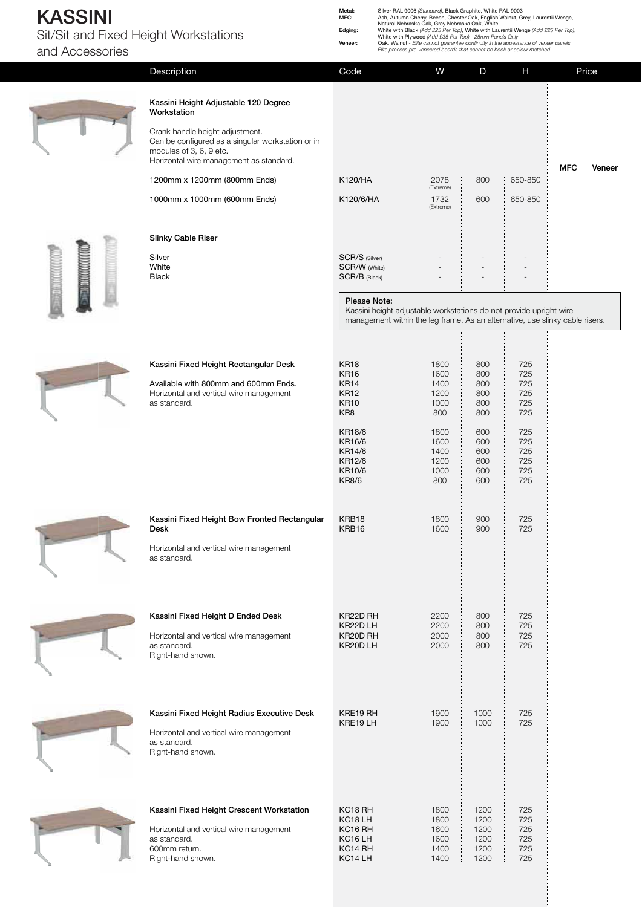#### **KASSINI**  Sit/Sit and Fixed Height Workstations

**Workstation**

Metal: Silver RAL 9006 (Standard), Black Graphite, White RAL 9003<br>
MFC: Ash, Autumn Cherry, Beech, Chester Oak, English Walnut, Grey, Laurentii Wenge,<br>
Natural Nebraska Oak, Grey Nebraska Oak, White<br>
Edging: White with Bla

and Accessories

| ieigi it vvorkstations.              | Veneer: | White with Plywood (Add £35 Per Top) - 25mm Panels Only<br>Oak, Walnut - Elite cannot guarantee continuity in the appearance of veneer panels.<br>Elite process pre-veneered boards that cannot be book or colour matched. |   |   |       |
|--------------------------------------|---------|----------------------------------------------------------------------------------------------------------------------------------------------------------------------------------------------------------------------------|---|---|-------|
| Description                          | Code    | w                                                                                                                                                                                                                          | D | н | Price |
| Kassini Height Adjustable 120 Degree |         |                                                                                                                                                                                                                            |   |   |       |

| ٠<br>Ξ |
|--------|
| 53     |
| z.     |
|        |

| Crank handle height adjustment.                   |  |
|---------------------------------------------------|--|
| Can be configured as a singular workstation or in |  |
| modules of 3, 6, 9 etc.                           |  |
| Horizontal wire management as standard.           |  |



| Gan be configured as a singular workstation or in<br>modules of 3, 6, 9 etc.<br>Horizontal wire management as standard. |                                                                                                                                                                    |                                             |                                        |                                        | <b>MFC</b> | Veneer |
|-------------------------------------------------------------------------------------------------------------------------|--------------------------------------------------------------------------------------------------------------------------------------------------------------------|---------------------------------------------|----------------------------------------|----------------------------------------|------------|--------|
| 1200mm x 1200mm (800mm Ends)                                                                                            | K120/HA                                                                                                                                                            | 2078<br>(Extreme)                           | 800                                    | 650-850                                |            |        |
| 1000mm x 1000mm (600mm Ends)                                                                                            | K120/6/HA                                                                                                                                                          | 1732<br>(Extreme)                           | 600                                    | 650-850                                |            |        |
| <b>Slinky Cable Riser</b>                                                                                               |                                                                                                                                                                    |                                             |                                        |                                        |            |        |
| Silver<br>White<br><b>Black</b>                                                                                         | SCR/S (Silver)<br>SCR/W (White)<br>SCR/B (Black)                                                                                                                   |                                             |                                        |                                        |            |        |
|                                                                                                                         | Please Note:<br>Kassini height adjustable workstations do not provide upright wire<br>management within the leg frame. As an alternative, use slinky cable risers. |                                             |                                        |                                        |            |        |
|                                                                                                                         |                                                                                                                                                                    |                                             |                                        |                                        |            |        |
| Kassini Fixed Height Rectangular Desk                                                                                   | <b>KR18</b><br><b>KR16</b>                                                                                                                                         | 1800<br>1600                                | 800<br>800                             | 725<br>725                             |            |        |
| Available with 800mm and 600mm Ends.<br>Horizontal and vertical wire management<br>as standard.                         | <b>KR14</b><br><b>KR12</b><br><b>KR10</b><br>KR8                                                                                                                   | 1400<br>1200<br>1000<br>800                 | 800<br>800<br>800<br>800               | 725<br>725<br>725<br>725               |            |        |
|                                                                                                                         | <b>KR18/6</b><br>KR16/6<br>KR14/6<br>KR12/6<br>KR10/6<br><b>KR8/6</b>                                                                                              | 1800<br>1600<br>1400<br>1200<br>1000<br>800 | 600<br>600<br>600<br>600<br>600<br>600 | 725<br>725<br>725<br>725<br>725<br>725 |            |        |
| Kassini Fixed Height Bow Fronted Rectangular<br><b>Desk</b>                                                             | KRB18<br>KRB16                                                                                                                                                     | 1800<br>1600                                | 900<br>900                             | 725<br>725                             |            |        |
| Herizontal and vertical wire menegoment                                                                                 |                                                                                                                                                                    |                                             |                                        |                                        |            |        |

725 725



| <b>STATE CONTRACT</b> |   |
|-----------------------|---|
|                       |   |
|                       |   |
|                       | ٠ |
|                       |   |
|                       |   |



| <b>Desk</b>                                                                                                                                | KRB16                                                                                              | 1600                                         | 900                                          |
|--------------------------------------------------------------------------------------------------------------------------------------------|----------------------------------------------------------------------------------------------------|----------------------------------------------|----------------------------------------------|
| Horizontal and vertical wire management<br>as standard.                                                                                    |                                                                                                    |                                              |                                              |
| Kassini Fixed Height D Ended Desk<br>Horizontal and vertical wire management<br>as standard.<br>Right-hand shown.                          | KR22D RH<br>KR22D LH<br>KR20D RH<br>KR20D LH                                                       | 2200<br>2200<br>2000<br>2000                 | 800<br>800<br>800<br>800                     |
| Kassini Fixed Height Radius Executive Desk<br>Horizontal and vertical wire management<br>as standard.<br>Right-hand shown.                 | KRE19 RH<br>KRE19LH                                                                                | 1900<br>1900                                 | 1000<br>1000                                 |
| Kassini Fixed Height Crescent Workstation<br>Horizontal and vertical wire management<br>as standard.<br>600mm return.<br>Right-hand shown. | KC18 RH<br>KC <sub>18</sub> LH<br>KC <sub>16</sub> RH<br>KC <sub>16</sub> LH<br>KC14 RH<br>KC14 LH | 1800<br>1800<br>1600<br>1600<br>1400<br>1400 | 1200<br>1200<br>1200<br>1200<br>1200<br>1200 |

| <b>COLLEGE</b><br><b>College</b> |        |
|----------------------------------|--------|
|                                  |        |
|                                  | $\sim$ |
|                                  |        |
|                                  |        |

| w |   |  |
|---|---|--|
|   | ≂ |  |
|   |   |  |
|   |   |  |
|   |   |  |

| ×<br>٠                 |
|------------------------|
| $\sim$<br><b>STATE</b> |
|                        |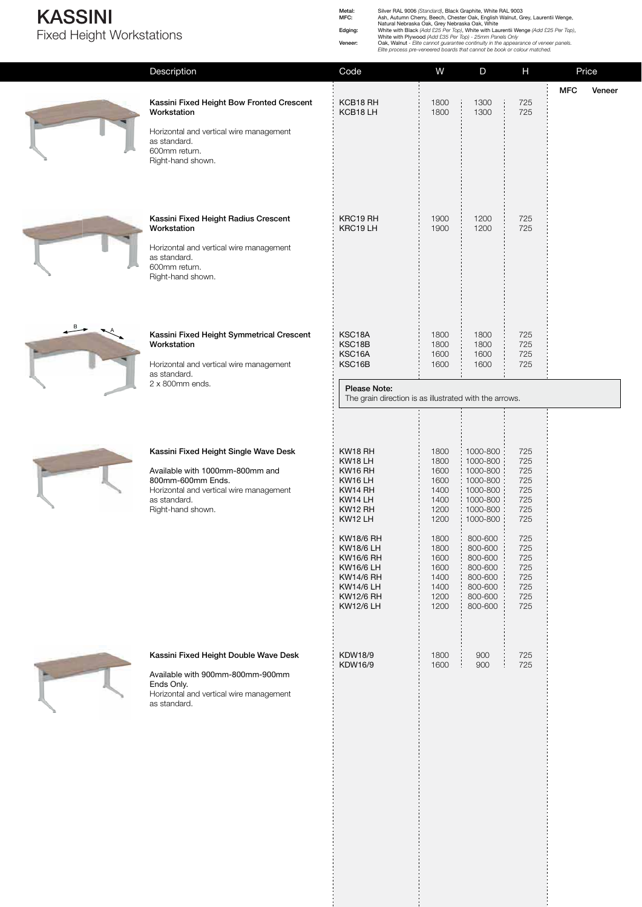### **KASSINI**  Fixed Height Workstations

Metal: Silver RAL 9006 (Standard), Black Graphite, White RAL 9003<br>
MFC: Ash, Autumn Cherry, Beech, Chester Oak, English Walnut, Grey, Laurentii Wenge,<br>
Natural Nebraska Oak, Grey Nebraska Oak, White<br>
Edging: White with Bla





 $B \rightarrow A$ 

| Description                                                                                                                                                                   | Code                                                                                                                  | W                                                                            | D                                                                                                                  | Н                                                                  | Price                                                         |        |
|-------------------------------------------------------------------------------------------------------------------------------------------------------------------------------|-----------------------------------------------------------------------------------------------------------------------|------------------------------------------------------------------------------|--------------------------------------------------------------------------------------------------------------------|--------------------------------------------------------------------|---------------------------------------------------------------|--------|
| Kassini Fixed Height Bow Fronted Crescent<br>Workstation                                                                                                                      | KCB18 RH<br>KCB18LH                                                                                                   | 1800<br>1800                                                                 | 1300<br>1300                                                                                                       | 725<br>725                                                         | <b>MFC</b>                                                    | Veneer |
| as standard.<br>600mm return.<br>Right-hand shown.                                                                                                                            |                                                                                                                       |                                                                              |                                                                                                                    |                                                                    |                                                               |        |
| Kassini Fixed Height Radius Crescent<br>Workstation<br>Horizontal and vertical wire management<br>as standard.<br>600mm return.<br>Right-hand shown.                          | KRC19 RH<br>KRC19LH                                                                                                   | 1900<br>1900                                                                 | 1200<br>1200                                                                                                       | 725<br>725                                                         |                                                               |        |
| Kassini Fixed Height Symmetrical Crescent<br>Workstation<br>Horizontal and vertical wire management                                                                           | KSC18A<br>KSC18B<br>KSC16A<br>KSC16B                                                                                  | 1800<br>1800<br>1600<br>1600                                                 | 1800<br>1800<br>1600<br>1600                                                                                       | 725<br>725<br>725<br>725                                           |                                                               |        |
| 2 x 800mm ends.                                                                                                                                                               | Please Note:                                                                                                          |                                                                              |                                                                                                                    |                                                                    |                                                               |        |
| Kassini Fixed Height Single Wave Desk<br>Available with 1000mm-800mm and<br>800mm-600mm Ends.<br>Horizontal and vertical wire management<br>as standard.<br>Right-hand shown. | KW18 RH<br>KW18 LH<br>KW16 RH<br>KW16 LH<br>KW14 RH<br>KW14 LH<br>KW12 RH<br>KW12 LH<br>KW18/6 RH<br><b>KW18/6 LH</b> | 1800<br>1800<br>1600<br>1600<br>1400<br>1400<br>1200<br>1200<br>1800<br>1800 | 1000-800<br>1000-800<br>1000-800<br>1000-800<br>1000-800<br>1000-800<br>1000-800<br>1000-800<br>800-600<br>800-600 | 725<br>725<br>725<br>725<br>725<br>725<br>725<br>725<br>725<br>725 |                                                               |        |
|                                                                                                                                                                               | KW16/6 LH<br><b>KW14/6 RH</b><br><b>KW14/6 LH</b><br><b>KW12/6 RH</b><br><b>KW12/6 LH</b>                             | 1600<br>1400<br>1400<br>1200<br>1200                                         | 800-600<br>800-600<br>800-600<br>800-600<br>800-600                                                                | 725<br>725<br>725<br>725<br>725                                    |                                                               |        |
| Kassini Fixed Height Double Wave Desk<br>Available with 900mm-800mm-900mm<br>Ends Only.<br>Horizontal and vertical wire management<br>as standard.                            | KDW18/9<br>KDW16/9                                                                                                    | 1800<br>1600                                                                 | 900<br>900                                                                                                         | 725<br>725                                                         |                                                               |        |
|                                                                                                                                                                               | Horizontal and vertical wire management<br>as standard.                                                               | <b>KW16/6 RH</b>                                                             | 1600                                                                                                               | 800-600                                                            | The grain direction is as illustrated with the arrows.<br>725 |        |

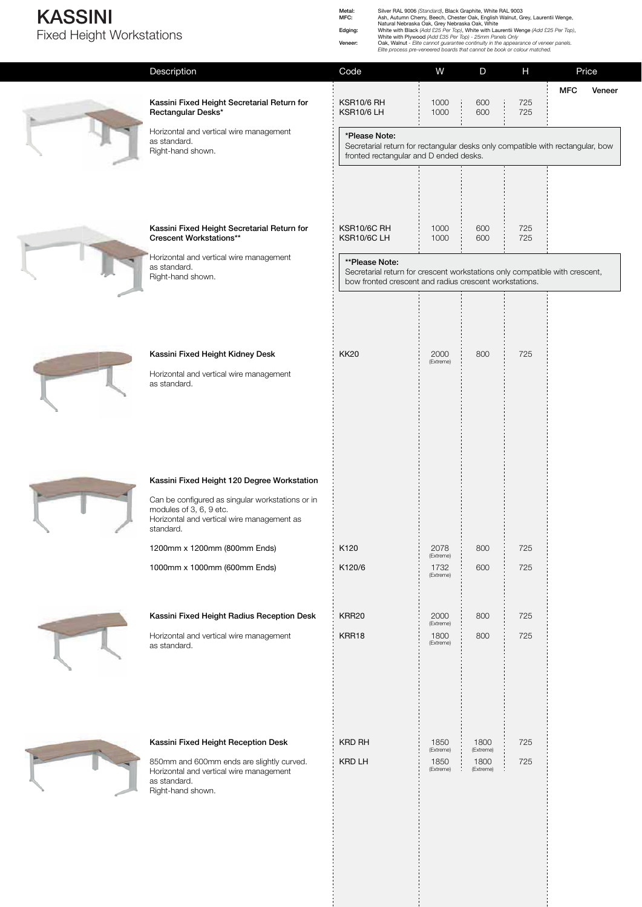#### **KASSINI**  Fixed Height Workstations

Metal:<br>MFC: Silver RAL 9006 (Standard), Black Graphite, White RAL 9003<br>MFC: Ash, Autumn Cherry, Beech, Chester Oak, English Walnut, Grey, Laurentii Wenge,<br>Edging: White with Black (Add £25 Per Top), White with Laurentii We Elite process pre-veneered boards that cannot be book or colour matched.

600 600  $600$  $600$ 800 800 600 800 800 1800  $(Extre$ 1800 (Extrem 1000 1000 1000 1000 2000 (Extreme) 2078 (Extreme) 1732 (Extreme) 2000 (Extren 1800  $E$ 1850 (Extre 1850 (Extreme) 725 725 725 725 725 725 725 725 725 725 725 KSR10/6 RH KSR10/6 LH KSR10/6C RH KSR10/6C LH KK20 K120 K120/6 KRR20 KRR18 KRD RH KRD LH **Kassini Fixed Height Secretarial Return for Rectangular Desks\*** Horizontal and vertical wire management as standard. Right-hand shown. **Kassini Fixed Height Secretarial Return for Crescent Workstations\*\*** Horizontal and vertical wire management as standard. Right-hand shown. **Kassini Fixed Height Kidney Desk** Horizontal and vertical wire management as standard. **Kassini Fixed Height 120 Degree Workstation** Can be configured as singular workstations or in modules of 3, 6, 9 etc. Horizontal and vertical wire management as standard. 1200mm x 1200mm (800mm Ends) 1000mm x 1000mm (600mm Ends) **Kassini Fixed Height Radius Reception Desk** Horizontal and vertical wire management as standard. **Kassini Fixed Height Reception Desk** 850mm and 600mm ends are slightly curved. Horizontal and vertical wire management as standard. Right-hand shown. **MFC Veneer** Description Code W D H Price **\*Please Note:** Secretarial return for rectangular desks only compatible with rectangular, bow fronted rectangular and D ended desks. **\*\*Please Note:** Secretarial return for crescent workstations only compatible with crescent, bow fronted crescent and radius crescent workstations.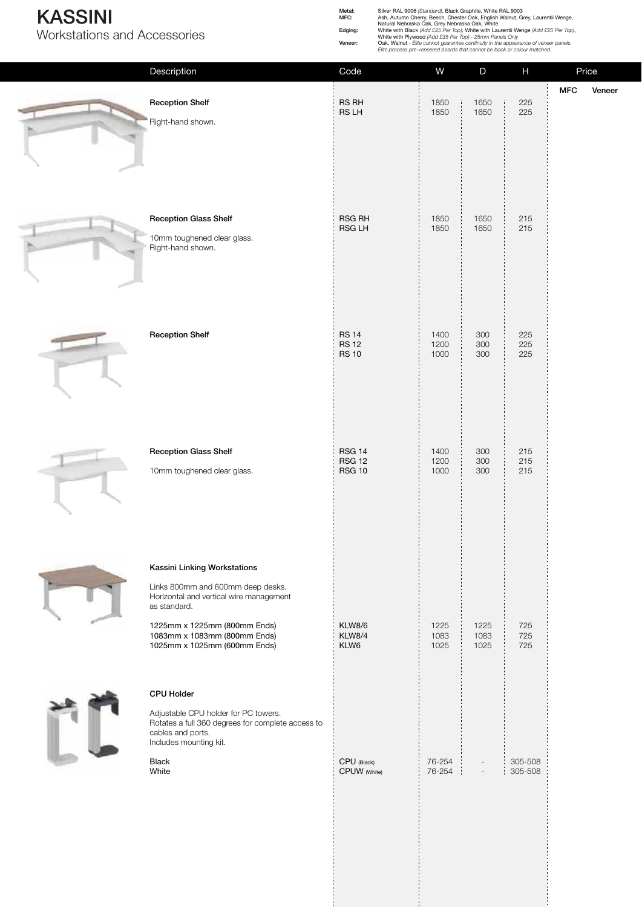### **KASSINI**

Workstations and Accessories

Metal: Silver RAL 9006 (Standard), Black Graphite, White RAL 9003<br>
MFC: Ash, Autumn Cherry, Beech, Chester Oak, English Walnut, Grey, Laurentii Wenge,<br>
Natural Nebraska Oak, Grey Nebraska Oak, White<br>
Edging: White with Bla

|                                                                                                                                                                                                                              |                                                 |                      |                          | $\sim$ and $\sim$ and $\sim$ and $\sim$ and $\sim$ and $\sim$ and $\sim$ and $\sim$ appearance on render<br>Elite process pre-veneered boards that cannot be book or colour matched. |     |        |
|------------------------------------------------------------------------------------------------------------------------------------------------------------------------------------------------------------------------------|-------------------------------------------------|----------------------|--------------------------|--------------------------------------------------------------------------------------------------------------------------------------------------------------------------------------|-----|--------|
| Description                                                                                                                                                                                                                  | Code                                            | W                    | $\mathsf D$              | H                                                                                                                                                                                    |     | Price  |
| <b>Reception Shelf</b><br>Right-hand shown.                                                                                                                                                                                  | RS RH<br>RS LH                                  | 1850<br>1850         | 1650<br>1650             | 225<br>225                                                                                                                                                                           | MFC | Veneer |
| <b>Reception Glass Shelf</b><br>10mm toughened clear glass.<br>Right-hand shown.                                                                                                                                             | RSG RH<br>RSG LH                                | 1850<br>1850         | 1650<br>1650             | 215<br>215                                                                                                                                                                           |     |        |
| <b>Reception Shelf</b>                                                                                                                                                                                                       | <b>RS 14</b><br><b>RS 12</b><br><b>RS 10</b>    | 1400<br>1200<br>1000 | 300<br>300<br>300        | 225<br>225<br>225                                                                                                                                                                    |     |        |
| <b>Reception Glass Shelf</b><br>10mm toughened clear glass.                                                                                                                                                                  | <b>RSG 14</b><br><b>RSG 12</b><br><b>RSG 10</b> | 1400<br>1200<br>1000 | 300<br>300<br>300        | 215<br>215<br>215                                                                                                                                                                    |     |        |
| Kassini Linking Workstations<br>Links 800mm and 600mm deep desks.<br>Horizontal and vertical wire management<br>as standard.<br>1225mm x 1225mm (800mm Ends)<br>1083mm x 1083mm (800mm Ends)<br>1025mm x 1025mm (600mm Ends) | <b>KLW8/6</b><br><b>KLW8/4</b><br>KLW6          | 1225<br>1083<br>1025 | 1225<br>1083<br>1025     | 725<br>725<br>725                                                                                                                                                                    |     |        |
| <b>CPU Holder</b><br>Adjustable CPU holder for PC towers.<br>Rotates a full 360 degrees for complete access to<br>cables and ports.<br>Includes mounting kit.<br><b>Black</b><br>White                                       | CPU (Black)<br>CPUW (White)                     | 76-254<br>76-254     | $\overline{\phantom{a}}$ | 305-508<br>305-508                                                                                                                                                                   |     |        |
|                                                                                                                                                                                                                              |                                                 |                      |                          |                                                                                                                                                                                      |     |        |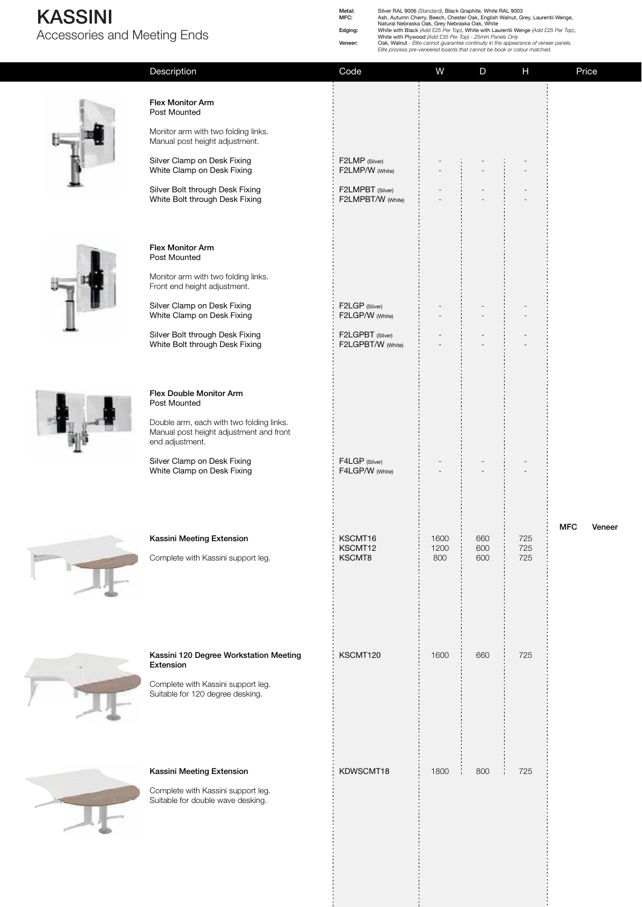## **KASSINI**

Accessories and Meeting Ends

**Flex Monitor Arm** Post Mounted

Monitor arm with two folding links. Manual post height adjustment.

Metal:<br>MFC: Silver RAL 9006 (Standard), Black Graphite, White RAL 9003<br>MFC: Ash, Autumn Cherry, Beech, Chester Oak, English Walnut, Grey, Laurentii Wenge,<br>Edging: White with Black (Add £25 Per Top), White with Laurentii We

Elite process pre-veneered boards that cannot be book or colour matched.

Description Code W D H Price